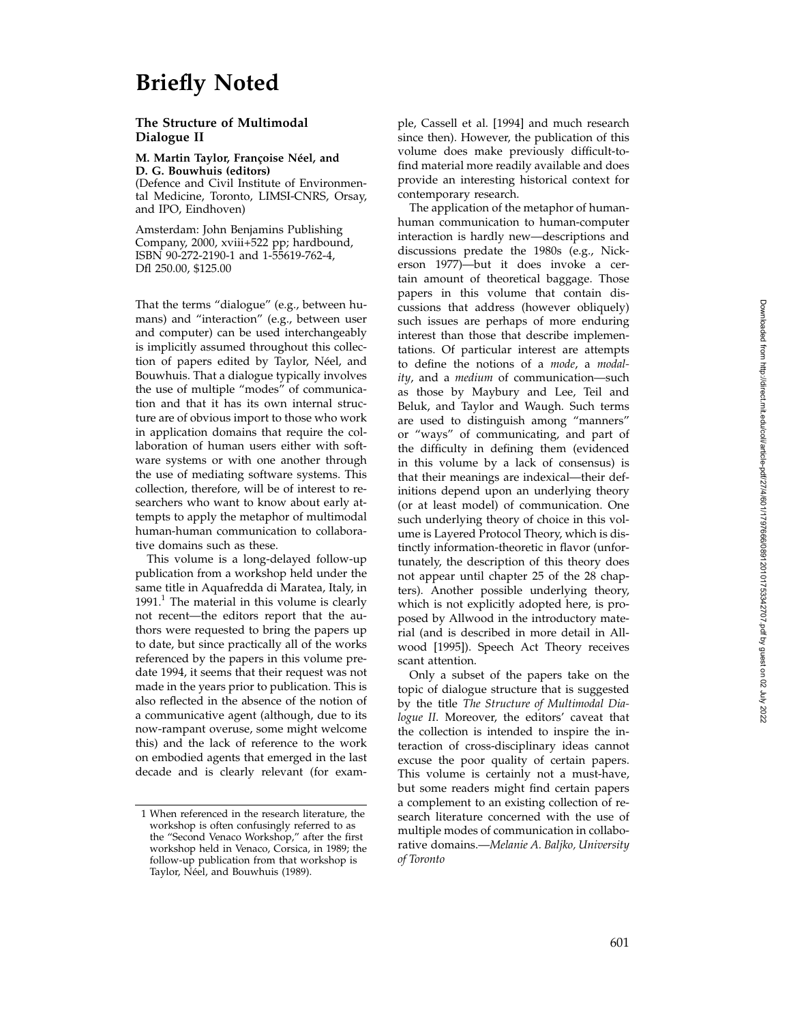# **Briefly Noted**

### **The Structure of Multimodal Dialogue II**

**M. Martin Taylor, Françoise Néel, and D. G. Bouwhuis (editors)**

(Defence and Civil Institute of Environmental Medicine, Toronto, LIMSI-CNRS, Orsay, and IPO, Eindhoven)

Amsterdam: John Benjamins Publishing Company, 2000, xviii+522 pp; hardbound, ISBN 90-272-2190-1 and 1-55619-762-4, Dfl 250.00, \$125.00

That the terms "dialogue" (e.g., between humans) and "interaction" (e.g., between user and computer) can be used interchangeably is implicitly assumed throughout this collection of papers edited by Taylor, Néel, and Bouwhuis. That a dialogue typically involves the use of multiple "modes" of communication and that it has its own internal structure are of obvious import to those who work in application domains that require the collaboration of human users either with software systems or with one another through the use of mediating software systems. This collection, therefore, will be of interest to researchers who want to know about early attempts to apply the metaphor of multimodal human-human communication to collaborative domains such as these.

This volume is a long-delayed follow-up publication from a workshop held under the same title in Aquafredda di Maratea, Italy, in 1991. $^1$  The material in this volume is clearly not recent—the editors report that the authors were requested to bring the papers up to date, but since practically all of the works referenced by the papers in this volume predate 1994, it seems that their request was not made in the years prior to publication. This is also reflected in the absence of the notion of a communicative agent (although, due to its now-rampant overuse, some might welcome this) and the lack of reference to the work on embodied agents that emerged in the last decade and is clearly relevant (for example, Cassell et al. [1994] and much research since then). However, the publication of this volume does make previously difficult-tofind material more readily available and does provide an interesting historical context for contemporary research.

The application of the metaphor of humanhuman communication to human-computer interaction is hardly new—descriptions and discussions predate the 1980s (e.g., Nickerson 1977)—but it does invoke a certain amount of theoretical baggage. Those papers in this volume that contain discussions that address (however obliquely) such issues are perhaps of more enduring interest than those that describe implementations. Of particular interest are attempts to define the notions of a *mode*, a *modality*, and a *medium* of communication—such as those by Maybury and Lee, Teil and Beluk, and Taylor and Waugh. Such terms are used to distinguish among "manners" or "ways" of communicating, and part of the difficulty in defining them (evidenced in this volume by a lack of consensus) is that their meanings are indexical—their definitions depend upon an underlying theory (or at least model) of communication. One such underlying theory of choice in this volume is Layered Protocol Theory, which is distinctly information-theoretic in flavor (unfortunately, the description of this theory does not appear until chapter 25 of the 28 chapters). Another possible underlying theory, which is not explicitly adopted here, is proposed by Allwood in the introductory material (and is described in more detail in Allwood [1995]). Speech Act Theory receives scant attention.

Only a subset of the papers take on the topic of dialogue structure that is suggested by the title *The Structure of Multimodal Dialogue II*. Moreover, the editors' caveat that the collection is intended to inspire the interaction of cross-disciplinary ideas cannot excuse the poor quality of certain papers. This volume is certainly not a must-have, but some readers might find certain papers a complement to an existing collection of research literature concerned with the use of multiple modes of communication in collaborative domains.—*Melanie A. Baljko, University of Toronto*

<sup>1</sup> When referenced in the research literature, the workshop is often confusingly referred to as the "Second Venaco Workshop," after the first workshop held in Venaco, Corsica, in 1989; the follow-up publication from that workshop is Taylor, Néel, and Bouwhuis (1989).